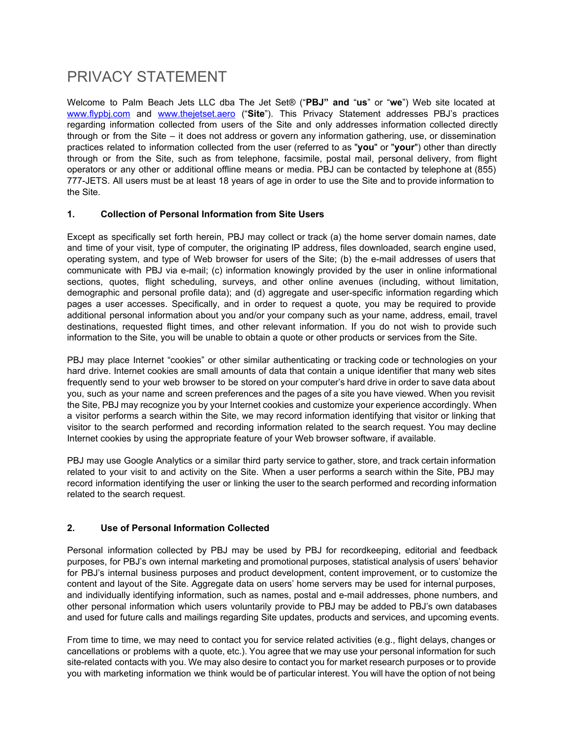# PRIVACY STATEMENT

Welcome to Palm Beach Jets LLC dba The Jet Set® ("**PBJ" and** "**us**" or "**we**") Web site located at [www.flypbj.com](http://www.flypbj.com/) and [www.thejetset.aero](http://www.thejetset.aero/) ("**Site**"). This Privacy Statement addresses PBJ's practices regarding information collected from users of the Site and only addresses information collected directly through or from the Site – it does not address or govern any information gathering, use, or dissemination practices related to information collected from the user (referred to as "**you**" or "**your**") other than directly through or from the Site, such as from telephone, facsimile, postal mail, personal delivery, from flight operators or any other or additional offline means or media. PBJ can be contacted by telephone at (855) 777-JETS. All users must be at least 18 years of age in order to use the Site and to provide information to the Site.

#### **1. Collection of Personal Information from Site Users**

Except as specifically set forth herein, PBJ may collect or track (a) the home server domain names, date and time of your visit, type of computer, the originating IP address, files downloaded, search engine used, operating system, and type of Web browser for users of the Site; (b) the e-mail addresses of users that communicate with PBJ via e-mail; (c) information knowingly provided by the user in online informational sections, quotes, flight scheduling, surveys, and other online avenues (including, without limitation, demographic and personal profile data); and (d) aggregate and user-specific information regarding which pages a user accesses. Specifically, and in order to request a quote, you may be required to provide additional personal information about you and/or your company such as your name, address, email, travel destinations, requested flight times, and other relevant information. If you do not wish to provide such information to the Site, you will be unable to obtain a quote or other products or services from the Site.

PBJ may place Internet "cookies" or other similar authenticating or tracking code or technologies on your hard drive. Internet cookies are small amounts of data that contain a unique identifier that many web sites frequently send to your web browser to be stored on your computer's hard drive in order to save data about you, such as your name and screen preferences and the pages of a site you have viewed. When you revisit the Site, PBJ may recognize you by your Internet cookies and customize your experience accordingly. When a visitor performs a search within the Site, we may record information identifying that visitor or linking that visitor to the search performed and recording information related to the search request. You may decline Internet cookies by using the appropriate feature of your Web browser software, if available.

PBJ may use Google Analytics or a similar third party service to gather, store, and track certain information related to your visit to and activity on the Site. When a user performs a search within the Site, PBJ may record information identifying the user or linking the user to the search performed and recording information related to the search request.

## **2. Use of Personal Information Collected**

Personal information collected by PBJ may be used by PBJ for recordkeeping, editorial and feedback purposes, for PBJ's own internal marketing and promotional purposes, statistical analysis of users' behavior for PBJ's internal business purposes and product development, content improvement, or to customize the content and layout of the Site. Aggregate data on users' home servers may be used for internal purposes, and individually identifying information, such as names, postal and e-mail addresses, phone numbers, and other personal information which users voluntarily provide to PBJ may be added to PBJ's own databases and used for future calls and mailings regarding Site updates, products and services, and upcoming events.

From time to time, we may need to contact you for service related activities (e.g., flight delays, changes or cancellations or problems with a quote, etc.). You agree that we may use your personal information for such site-related contacts with you. We may also desire to contact you for market research purposes or to provide you with marketing information we think would be of particular interest. You will have the option of not being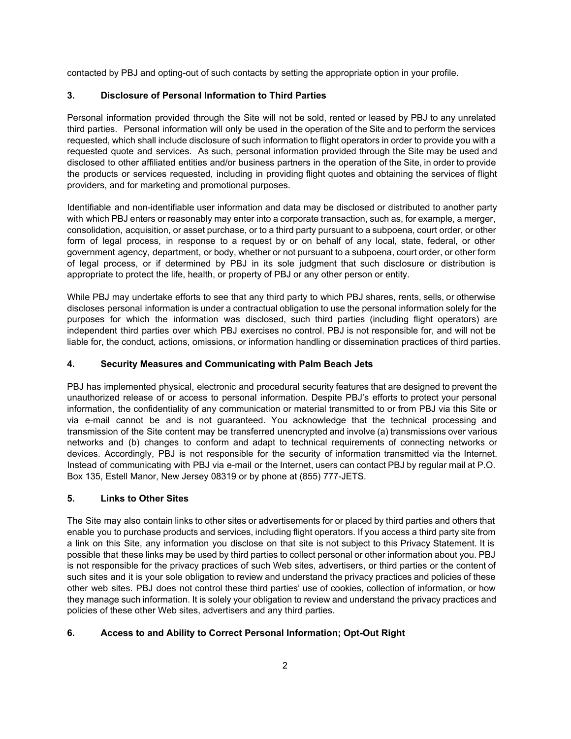contacted by PBJ and opting-out of such contacts by setting the appropriate option in your profile.

### **3. Disclosure of Personal Information to Third Parties**

Personal information provided through the Site will not be sold, rented or leased by PBJ to any unrelated third parties. Personal information will only be used in the operation of the Site and to perform the services requested, which shall include disclosure of such information to flight operators in order to provide you with a requested quote and services. As such, personal information provided through the Site may be used and disclosed to other affiliated entities and/or business partners in the operation of the Site, in order to provide the products or services requested, including in providing flight quotes and obtaining the services of flight providers, and for marketing and promotional purposes.

Identifiable and non-identifiable user information and data may be disclosed or distributed to another party with which PBJ enters or reasonably may enter into a corporate transaction, such as, for example, a merger, consolidation, acquisition, or asset purchase, or to a third party pursuant to a subpoena, court order, or other form of legal process, in response to a request by or on behalf of any local, state, federal, or other government agency, department, or body, whether or not pursuant to a subpoena, court order, or other form of legal process, or if determined by PBJ in its sole judgment that such disclosure or distribution is appropriate to protect the life, health, or property of PBJ or any other person or entity.

While PBJ may undertake efforts to see that any third party to which PBJ shares, rents, sells, or otherwise discloses personal information is under a contractual obligation to use the personal information solely for the purposes for which the information was disclosed, such third parties (including flight operators) are independent third parties over which PBJ exercises no control. PBJ is not responsible for, and will not be liable for, the conduct, actions, omissions, or information handling or dissemination practices of third parties.

#### **4. Security Measures and Communicating with Palm Beach Jets**

PBJ has implemented physical, electronic and procedural security features that are designed to prevent the unauthorized release of or access to personal information. Despite PBJ's efforts to protect your personal information, the confidentiality of any communication or material transmitted to or from PBJ via this Site or via e-mail cannot be and is not guaranteed. You acknowledge that the technical processing and transmission of the Site content may be transferred unencrypted and involve (a) transmissions over various networks and (b) changes to conform and adapt to technical requirements of connecting networks or devices. Accordingly, PBJ is not responsible for the security of information transmitted via the Internet. Instead of communicating with PBJ via e-mail or the Internet, users can contact PBJ by regular mail at P.O. Box 135, Estell Manor, New Jersey 08319 or by phone at (855) 777-JETS.

#### **5. Links to Other Sites**

The Site may also contain links to other sites or advertisements for or placed by third parties and others that enable you to purchase products and services, including flight operators. If you access a third party site from a link on this Site, any information you disclose on that site is not subject to this Privacy Statement. It is possible that these links may be used by third parties to collect personal or other information about you. PBJ is not responsible for the privacy practices of such Web sites, advertisers, or third parties or the content of such sites and it is your sole obligation to review and understand the privacy practices and policies of these other web sites. PBJ does not control these third parties' use of cookies, collection of information, or how they manage such information. It is solely your obligation to review and understand the privacy practices and policies of these other Web sites, advertisers and any third parties.

#### **6. Access to and Ability to Correct Personal Information; Opt-Out Right**